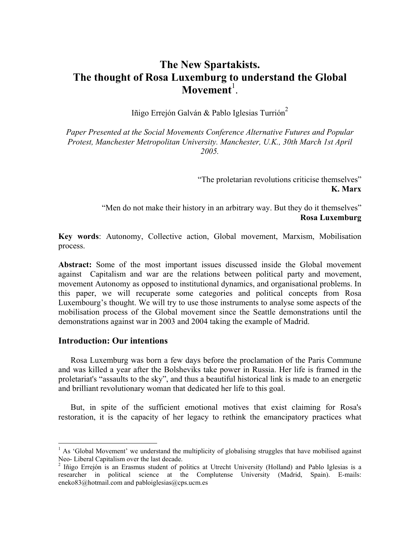# The New Spartakists. The thought of Rosa Luxemburg to understand the Global  $M$ ovement<sup>1</sup>.

Iñigo Errejón Galván & Pablo Iglesias Turrión<sup>2</sup>

Paper Presented at the Social Movements Conference Alternative Futures and Popular Protest, Manchester Metropolitan University. Manchester, U.K., 30th March 1st April 2005.

> "The proletarian revolutions criticise themselves" K. Marx

"Men do not make their history in an arbitrary way. But they do it themselves" Rosa Luxemburg

Key words: Autonomy, Collective action, Global movement, Marxism, Mobilisation process.

Abstract: Some of the most important issues discussed inside the Global movement against Capitalism and war are the relations between political party and movement, movement Autonomy as opposed to institutional dynamics, and organisational problems. In this paper, we will recuperate some categories and political concepts from Rosa Luxembourg's thought. We will try to use those instruments to analyse some aspects of the mobilisation process of the Global movement since the Seattle demonstrations until the demonstrations against war in 2003 and 2004 taking the example of Madrid.

### Introduction: Our intentions

Rosa Luxemburg was born a few days before the proclamation of the Paris Commune and was killed a year after the Bolsheviks take power in Russia. Her life is framed in the proletariat's "assaults to the sky", and thus a beautiful historical link is made to an energetic and brilliant revolutionary woman that dedicated her life to this goal.

But, in spite of the sufficient emotional motives that exist claiming for Rosa's restoration, it is the capacity of her legacy to rethink the emancipatory practices what

<sup>&</sup>lt;sup>1</sup> As 'Global Movement' we understand the multiplicity of globalising struggles that have mobilised against Neo- Liberal Capitalism over the last decade.

<sup>&</sup>lt;sup>2</sup> Iñigo Errejón is an Erasmus student of politics at Utrecht University (Holland) and Pablo Iglesias is a researcher in political science at the Complutense University (Madrid, Spain). E-mails: eneko83@hotmail.com and pabloiglesias@cps.ucm.es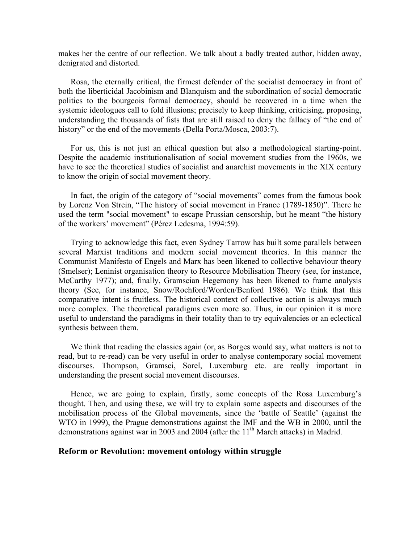makes her the centre of our reflection. We talk about a badly treated author, hidden away, denigrated and distorted.

Rosa, the eternally critical, the firmest defender of the socialist democracy in front of both the liberticidal Jacobinism and Blanquism and the subordination of social democratic politics to the bourgeois formal democracy, should be recovered in a time when the systemic ideologues call to fold illusions; precisely to keep thinking, criticising, proposing, understanding the thousands of fists that are still raised to deny the fallacy of "the end of history" or the end of the movements (Della Porta/Mosca, 2003:7).

For us, this is not just an ethical question but also a methodological starting-point. Despite the academic institutionalisation of social movement studies from the 1960s, we have to see the theoretical studies of socialist and anarchist movements in the XIX century to know the origin of social movement theory.

In fact, the origin of the category of "social movements" comes from the famous book by Lorenz Von Strein, "The history of social movement in France (1789-1850)". There he used the term "social movement" to escape Prussian censorship, but he meant "the history of the workers' movement" (Pérez Ledesma, 1994:59).

Trying to acknowledge this fact, even Sydney Tarrow has built some parallels between several Marxist traditions and modern social movement theories. In this manner the Communist Manifesto of Engels and Marx has been likened to collective behaviour theory (Smelser); Leninist organisation theory to Resource Mobilisation Theory (see, for instance, McCarthy 1977); and, finally, Gramscian Hegemony has been likened to frame analysis theory (See, for instance, Snow/Rochford/Worden/Benford 1986). We think that this comparative intent is fruitless. The historical context of collective action is always much more complex. The theoretical paradigms even more so. Thus, in our opinion it is more useful to understand the paradigms in their totality than to try equivalencies or an eclectical synthesis between them.

We think that reading the classics again (or, as Borges would say, what matters is not to read, but to re-read) can be very useful in order to analyse contemporary social movement discourses. Thompson, Gramsci, Sorel, Luxemburg etc. are really important in understanding the present social movement discourses.

Hence, we are going to explain, firstly, some concepts of the Rosa Luxemburg's thought. Then, and using these, we will try to explain some aspects and discourses of the mobilisation process of the Global movements, since the 'battle of Seattle' (against the WTO in 1999), the Prague demonstrations against the IMF and the WB in 2000, until the demonstrations against war in 2003 and 2004 (after the 11<sup>th</sup> March attacks) in Madrid.

### Reform or Revolution: movement ontology within struggle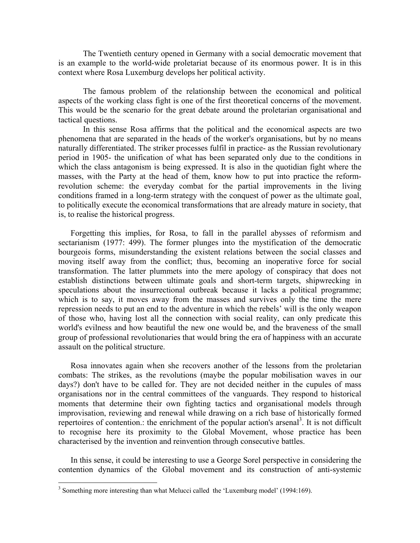The Twentieth century opened in Germany with a social democratic movement that is an example to the world-wide proletariat because of its enormous power. It is in this context where Rosa Luxemburg develops her political activity.

 The famous problem of the relationship between the economical and political aspects of the working class fight is one of the first theoretical concerns of the movement. This would be the scenario for the great debate around the proletarian organisational and tactical questions.

 In this sense Rosa affirms that the political and the economical aspects are two phenomena that are separated in the heads of the worker's organisations, but by no means naturally differentiated. The striker processes fulfil in practice- as the Russian revolutionary period in 1905- the unification of what has been separated only due to the conditions in which the class antagonism is being expressed. It is also in the quotidian fight where the masses, with the Party at the head of them, know how to put into practice the reformrevolution scheme: the everyday combat for the partial improvements in the living conditions framed in a long-term strategy with the conquest of power as the ultimate goal, to politically execute the economical transformations that are already mature in society, that is, to realise the historical progress.

Forgetting this implies, for Rosa, to fall in the parallel abysses of reformism and sectarianism (1977: 499). The former plunges into the mystification of the democratic bourgeois forms, misunderstanding the existent relations between the social classes and moving itself away from the conflict; thus, becoming an inoperative force for social transformation. The latter plummets into the mere apology of conspiracy that does not establish distinctions between ultimate goals and short-term targets, shipwrecking in speculations about the insurrectional outbreak because it lacks a political programme; which is to say, it moves away from the masses and survives only the time the mere repression needs to put an end to the adventure in which the rebels' will is the only weapon of those who, having lost all the connection with social reality, can only predicate this world's evilness and how beautiful the new one would be, and the braveness of the small group of professional revolutionaries that would bring the era of happiness with an accurate assault on the political structure.

Rosa innovates again when she recovers another of the lessons from the proletarian combats: The strikes, as the revolutions (maybe the popular mobilisation waves in our days?) don't have to be called for. They are not decided neither in the cupules of mass organisations nor in the central committees of the vanguards. They respond to historical moments that determine their own fighting tactics and organisational models through improvisation, reviewing and renewal while drawing on a rich base of historically formed repertoires of contention.: the enrichment of the popular action's arsenal<sup>3</sup>. It is not difficult to recognise here its proximity to the Global Movement, whose practice has been characterised by the invention and reinvention through consecutive battles.

In this sense, it could be interesting to use a George Sorel perspective in considering the contention dynamics of the Global movement and its construction of anti-systemic

<sup>&</sup>lt;u>.</u> <sup>3</sup> Something more interesting than what Melucci called the 'Luxemburg model' (1994:169).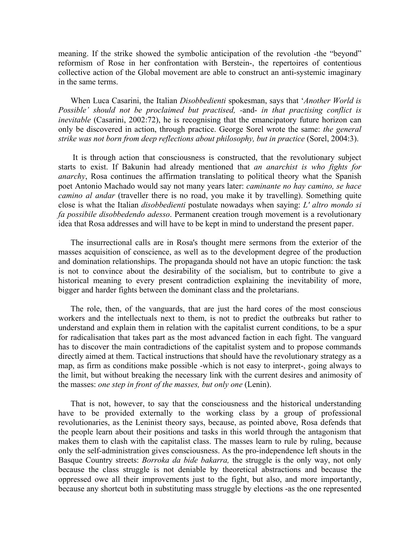meaning. If the strike showed the symbolic anticipation of the revolution -the "beyond" reformism of Rose in her confrontation with Berstein-, the repertoires of contentious collective action of the Global movement are able to construct an anti-systemic imaginary in the same terms.

When Luca Casarini, the Italian Disobbedienti spokesman, says that 'Another World is Possible' should not be proclaimed but practised, -and- in that practising conflict is inevitable (Casarini, 2002:72), he is recognising that the emancipatory future horizon can only be discovered in action, through practice. George Sorel wrote the same: the general strike was not born from deep reflections about philosophy, but in practice (Sorel, 2004:3).

 It is through action that consciousness is constructed, that the revolutionary subject starts to exist. If Bakunin had already mentioned that an anarchist is who fights for anarchy, Rosa continues the affirmation translating to political theory what the Spanish poet Antonio Machado would say not many years later: caminante no hay camino, se hace camino al andar (traveller there is no road, you make it by travelling). Something quite close is what the Italian disobbedienti postulate nowadays when saying: L' altro mondo si fa possibile disobbedendo adesso. Permanent creation trough movement is a revolutionary idea that Rosa addresses and will have to be kept in mind to understand the present paper.

The insurrectional calls are in Rosa's thought mere sermons from the exterior of the masses acquisition of conscience, as well as to the development degree of the production and domination relationships. The propaganda should not have an utopic function: the task is not to convince about the desirability of the socialism, but to contribute to give a historical meaning to every present contradiction explaining the inevitability of more, bigger and harder fights between the dominant class and the proletarians.

The role, then, of the vanguards, that are just the hard cores of the most conscious workers and the intellectuals next to them, is not to predict the outbreaks but rather to understand and explain them in relation with the capitalist current conditions, to be a spur for radicalisation that takes part as the most advanced faction in each fight. The vanguard has to discover the main contradictions of the capitalist system and to propose commands directly aimed at them. Tactical instructions that should have the revolutionary strategy as a map, as firm as conditions make possible -which is not easy to interpret-, going always to the limit, but without breaking the necessary link with the current desires and animosity of the masses: one step in front of the masses, but only one (Lenin).

That is not, however, to say that the consciousness and the historical understanding have to be provided externally to the working class by a group of professional revolutionaries, as the Leninist theory says, because, as pointed above, Rosa defends that the people learn about their positions and tasks in this world through the antagonism that makes them to clash with the capitalist class. The masses learn to rule by ruling, because only the self-administration gives consciousness. As the pro-independence left shouts in the Basque Country streets: Borroka da bide bakarra, the struggle is the only way, not only because the class struggle is not deniable by theoretical abstractions and because the oppressed owe all their improvements just to the fight, but also, and more importantly, because any shortcut both in substituting mass struggle by elections -as the one represented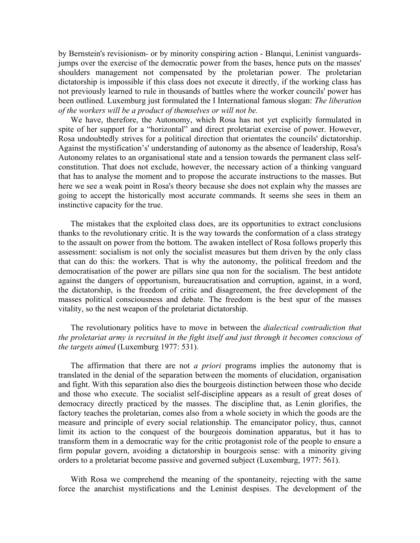by Bernstein's revisionism- or by minority conspiring action - Blanqui, Leninist vanguardsjumps over the exercise of the democratic power from the bases, hence puts on the masses' shoulders management not compensated by the proletarian power. The proletarian dictatorship is impossible if this class does not execute it directly, if the working class has not previously learned to rule in thousands of battles where the worker councils' power has been outlined. Luxemburg just formulated the I International famous slogan: The liberation of the workers will be a product of themselves or will not be.

We have, therefore, the Autonomy, which Rosa has not yet explicitly formulated in spite of her support for a "horizontal" and direct proletariat exercise of power. However, Rosa undoubtedly strives for a political direction that orientates the councils' dictatorship. Against the mystification's' understanding of autonomy as the absence of leadership, Rosa's Autonomy relates to an organisational state and a tension towards the permanent class selfconstitution. That does not exclude, however, the necessary action of a thinking vanguard that has to analyse the moment and to propose the accurate instructions to the masses. But here we see a weak point in Rosa's theory because she does not explain why the masses are going to accept the historically most accurate commands. It seems she sees in them an instinctive capacity for the true.

The mistakes that the exploited class does, are its opportunities to extract conclusions thanks to the revolutionary critic. It is the way towards the conformation of a class strategy to the assault on power from the bottom. The awaken intellect of Rosa follows properly this assessment: socialism is not only the socialist measures but them driven by the only class that can do this: the workers. That is why the autonomy, the political freedom and the democratisation of the power are pillars sine qua non for the socialism. The best antidote against the dangers of opportunism, bureaucratisation and corruption, against, in a word, the dictatorship, is the freedom of critic and disagreement, the free development of the masses political consciousness and debate. The freedom is the best spur of the masses vitality, so the nest weapon of the proletariat dictatorship.

## The revolutionary politics have to move in between the *dialectical contradiction that* the proletariat army is recruited in the fight itself and just through it becomes conscious of the targets aimed (Luxemburg 1977: 531).

The affirmation that there are not *a priori* programs implies the autonomy that is translated in the denial of the separation between the moments of elucidation, organisation and fight. With this separation also dies the bourgeois distinction between those who decide and those who execute. The socialist self-discipline appears as a result of great doses of democracy directly practiced by the masses. The discipline that, as Lenin glorifies, the factory teaches the proletarian, comes also from a whole society in which the goods are the measure and principle of every social relationship. The emancipator policy, thus, cannot limit its action to the conquest of the bourgeois domination apparatus, but it has to transform them in a democratic way for the critic protagonist role of the people to ensure a firm popular govern, avoiding a dictatorship in bourgeois sense: with a minority giving orders to a proletariat become passive and governed subject (Luxemburg, 1977: 561).

With Rosa we comprehend the meaning of the spontaneity, rejecting with the same force the anarchist mystifications and the Leninist despises. The development of the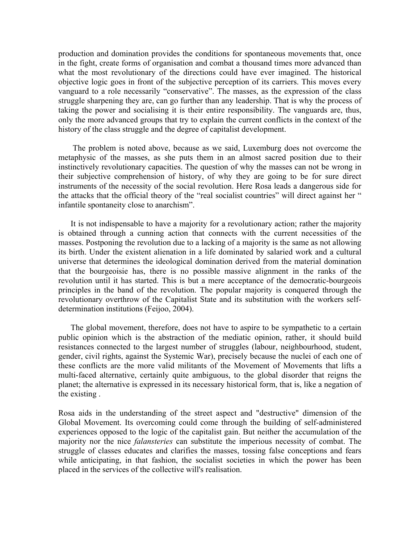production and domination provides the conditions for spontaneous movements that, once in the fight, create forms of organisation and combat a thousand times more advanced than what the most revolutionary of the directions could have ever imagined. The historical objective logic goes in front of the subjective perception of its carriers. This moves every vanguard to a role necessarily "conservative". The masses, as the expression of the class struggle sharpening they are, can go further than any leadership. That is why the process of taking the power and socialising it is their entire responsibility. The vanguards are, thus, only the more advanced groups that try to explain the current conflicts in the context of the history of the class struggle and the degree of capitalist development.

 The problem is noted above, because as we said, Luxemburg does not overcome the metaphysic of the masses, as she puts them in an almost sacred position due to their instinctively revolutionary capacities. The question of why the masses can not be wrong in their subjective comprehension of history, of why they are going to be for sure direct instruments of the necessity of the social revolution. Here Rosa leads a dangerous side for the attacks that the official theory of the "real socialist countries" will direct against her " infantile spontaneity close to anarchism".

It is not indispensable to have a majority for a revolutionary action; rather the majority is obtained through a cunning action that connects with the current necessities of the masses. Postponing the revolution due to a lacking of a majority is the same as not allowing its birth. Under the existent alienation in a life dominated by salaried work and a cultural universe that determines the ideological domination derived from the material domination that the bourgeoisie has, there is no possible massive alignment in the ranks of the revolution until it has started. This is but a mere acceptance of the democratic-bourgeois principles in the band of the revolution. The popular majority is conquered through the revolutionary overthrow of the Capitalist State and its substitution with the workers selfdetermination institutions (Feijoo, 2004).

The global movement, therefore, does not have to aspire to be sympathetic to a certain public opinion which is the abstraction of the mediatic opinion, rather, it should build resistances connected to the largest number of struggles (labour, neighbourhood, student, gender, civil rights, against the Systemic War), precisely because the nuclei of each one of these conflicts are the more valid militants of the Movement of Movements that lifts a multi-faced alternative, certainly quite ambiguous, to the global disorder that reigns the planet; the alternative is expressed in its necessary historical form, that is, like a negation of the existing .

Rosa aids in the understanding of the street aspect and "destructive" dimension of the Global Movement. Its overcoming could come through the building of self-administered experiences opposed to the logic of the capitalist gain. But neither the accumulation of the majority nor the nice falansteries can substitute the imperious necessity of combat. The struggle of classes educates and clarifies the masses, tossing false conceptions and fears while anticipating, in that fashion, the socialist societies in which the power has been placed in the services of the collective will's realisation.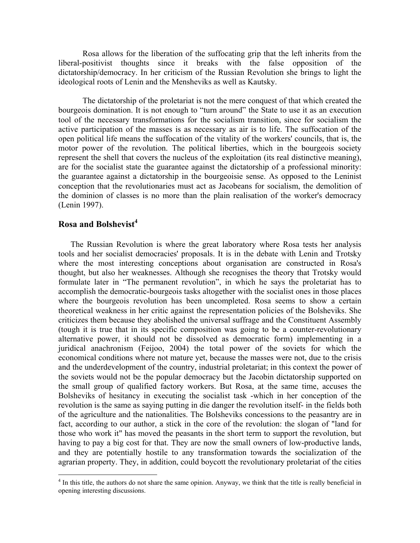Rosa allows for the liberation of the suffocating grip that the left inherits from the liberal-positivist thoughts since it breaks with the false opposition of the dictatorship/democracy. In her criticism of the Russian Revolution she brings to light the ideological roots of Lenin and the Mensheviks as well as Kautsky.

The dictatorship of the proletariat is not the mere conquest of that which created the bourgeois domination. It is not enough to "turn around" the State to use it as an execution tool of the necessary transformations for the socialism transition, since for socialism the active participation of the masses is as necessary as air is to life. The suffocation of the open political life means the suffocation of the vitality of the workers' councils, that is, the motor power of the revolution. The political liberties, which in the bourgeois society represent the shell that covers the nucleus of the exploitation (its real distinctive meaning), are for the socialist state the guarantee against the dictatorship of a professional minority: the guarantee against a dictatorship in the bourgeoisie sense. As opposed to the Leninist conception that the revolutionaries must act as Jacobeans for socialism, the demolition of the dominion of classes is no more than the plain realisation of the worker's democracy (Lenin 1997).

# Rosa and Bolshevist<sup>4</sup>

The Russian Revolution is where the great laboratory where Rosa tests her analysis tools and her socialist democracies' proposals. It is in the debate with Lenin and Trotsky where the most interesting conceptions about organisation are constructed in Rosa's thought, but also her weaknesses. Although she recognises the theory that Trotsky would formulate later in "The permanent revolution", in which he says the proletariat has to accomplish the democratic-bourgeois tasks altogether with the socialist ones in those places where the bourgeois revolution has been uncompleted. Rosa seems to show a certain theoretical weakness in her critic against the representation policies of the Bolsheviks. She criticizes them because they abolished the universal suffrage and the Constituent Assembly (tough it is true that in its specific composition was going to be a counter-revolutionary alternative power, it should not be dissolved as democratic form) implementing in a juridical anachronism (Feijoo, 2004) the total power of the soviets for which the economical conditions where not mature yet, because the masses were not, due to the crisis and the underdevelopment of the country, industrial proletariat; in this context the power of the soviets would not be the popular democracy but the Jacobin dictatorship supported on the small group of qualified factory workers. But Rosa, at the same time, accuses the Bolsheviks of hesitancy in executing the socialist task -which in her conception of the revolution is the same as saying putting in die danger the revolution itself- in the fields both of the agriculture and the nationalities. The Bolsheviks concessions to the peasantry are in fact, according to our author, a stick in the core of the revolution: the slogan of "land for those who work it" has moved the peasants in the short term to support the revolution, but having to pay a big cost for that. They are now the small owners of low-productive lands, and they are potentially hostile to any transformation towards the socialization of the agrarian property. They, in addition, could boycott the revolutionary proletariat of the cities

<sup>&</sup>lt;sup>4</sup> In this title, the authors do not share the same opinion. Anyway, we think that the title is really beneficial in opening interesting discussions.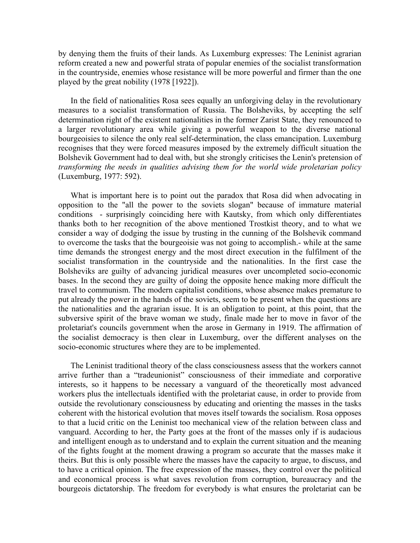by denying them the fruits of their lands. As Luxemburg expresses: The Leninist agrarian reform created a new and powerful strata of popular enemies of the socialist transformation in the countryside, enemies whose resistance will be more powerful and firmer than the one played by the great nobility (1978 [1922]).

In the field of nationalities Rosa sees equally an unforgiving delay in the revolutionary measures to a socialist transformation of Russia. The Bolsheviks, by accepting the self determination right of the existent nationalities in the former Zarist State, they renounced to a larger revolutionary area while giving a powerful weapon to the diverse national bourgeoisies to silence the only real self-determination, the class emancipation. Luxemburg recognises that they were forced measures imposed by the extremely difficult situation the Bolshevik Government had to deal with, but she strongly criticises the Lenin's pretension of transforming the needs in qualities advising them for the world wide proletarian policy (Luxemburg, 1977: 592).

What is important here is to point out the paradox that Rosa did when advocating in opposition to the "all the power to the soviets slogan" because of immature material conditions - surprisingly coinciding here with Kautsky, from which only differentiates thanks both to her recognition of the above mentioned Trostkist theory, and to what we consider a way of dodging the issue by trusting in the cunning of the Bolshevik command to overcome the tasks that the bourgeoisie was not going to accomplish.- while at the same time demands the strongest energy and the most direct execution in the fulfilment of the socialist transformation in the countryside and the nationalities. In the first case the Bolsheviks are guilty of advancing juridical measures over uncompleted socio-economic bases. In the second they are guilty of doing the opposite hence making more difficult the travel to communism. The modern capitalist conditions, whose absence makes premature to put already the power in the hands of the soviets, seem to be present when the questions are the nationalities and the agrarian issue. It is an obligation to point, at this point, that the subversive spirit of the brave woman we study, finale made her to move in favor of the proletariat's councils government when the arose in Germany in 1919. The affirmation of the socialist democracy is then clear in Luxemburg, over the different analyses on the socio-economic structures where they are to be implemented.

The Leninist traditional theory of the class consciousness assess that the workers cannot arrive further than a "tradeunionist" consciousness of their immediate and corporative interests, so it happens to be necessary a vanguard of the theoretically most advanced workers plus the intellectuals identified with the proletariat cause, in order to provide from outside the revolutionary consciousness by educating and orienting the masses in the tasks coherent with the historical evolution that moves itself towards the socialism. Rosa opposes to that a lucid critic on the Leninist too mechanical view of the relation between class and vanguard. According to her, the Party goes at the front of the masses only if is audacious and intelligent enough as to understand and to explain the current situation and the meaning of the fights fought at the moment drawing a program so accurate that the masses make it theirs. But this is only possible where the masses have the capacity to argue, to discuss, and to have a critical opinion. The free expression of the masses, they control over the political and economical process is what saves revolution from corruption, bureaucracy and the bourgeois dictatorship. The freedom for everybody is what ensures the proletariat can be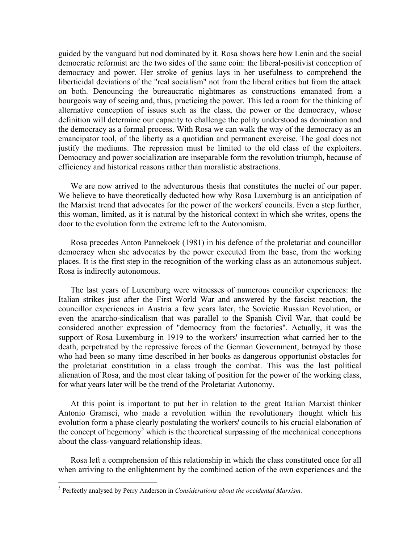guided by the vanguard but nod dominated by it. Rosa shows here how Lenin and the social democratic reformist are the two sides of the same coin: the liberal-positivist conception of democracy and power. Her stroke of genius lays in her usefulness to comprehend the liberticidal deviations of the "real socialism" not from the liberal critics but from the attack on both. Denouncing the bureaucratic nightmares as constructions emanated from a bourgeois way of seeing and, thus, practicing the power. This led a room for the thinking of alternative conception of issues such as the class, the power or the democracy, whose definition will determine our capacity to challenge the polity understood as domination and the democracy as a formal process. With Rosa we can walk the way of the democracy as an emancipator tool, of the liberty as a quotidian and permanent exercise. The goal does not justify the mediums. The repression must be limited to the old class of the exploiters. Democracy and power socialization are inseparable form the revolution triumph, because of efficiency and historical reasons rather than moralistic abstractions.

We are now arrived to the adventurous thesis that constitutes the nuclei of our paper. We believe to have theoretically deducted how why Rosa Luxemburg is an anticipation of the Marxist trend that advocates for the power of the workers' councils. Even a step further, this woman, limited, as it is natural by the historical context in which she writes, opens the door to the evolution form the extreme left to the Autonomism.

Rosa precedes Anton Pannekoek (1981) in his defence of the proletariat and councillor democracy when she advocates by the power executed from the base, from the working places. It is the first step in the recognition of the working class as an autonomous subject. Rosa is indirectly autonomous.

The last years of Luxemburg were witnesses of numerous councilor experiences: the Italian strikes just after the First World War and answered by the fascist reaction, the councillor experiences in Austria a few years later, the Sovietic Russian Revolution, or even the anarcho-sindicalism that was parallel to the Spanish Civil War, that could be considered another expression of "democracy from the factories". Actually, it was the support of Rosa Luxemburg in 1919 to the workers' insurrection what carried her to the death, perpetrated by the repressive forces of the German Government, betrayed by those who had been so many time described in her books as dangerous opportunist obstacles for the proletariat constitution in a class trough the combat. This was the last political alienation of Rosa, and the most clear taking of position for the power of the working class, for what years later will be the trend of the Proletariat Autonomy.

At this point is important to put her in relation to the great Italian Marxist thinker Antonio Gramsci, who made a revolution within the revolutionary thought which his evolution form a phase clearly postulating the workers' councils to his crucial elaboration of the concept of hegemony<sup>5</sup> which is the theoretical surpassing of the mechanical conceptions about the class-vanguard relationship ideas.

Rosa left a comprehension of this relationship in which the class constituted once for all when arriving to the enlightenment by the combined action of the own experiences and the

**EXECT:**<br><sup>5</sup> Perfectly analysed by Perry Anderson in Considerations about the occidental Marxism.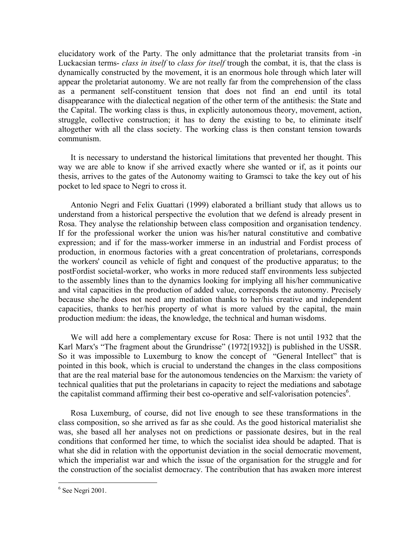elucidatory work of the Party. The only admittance that the proletariat transits from -in Luckacsian terms- class in itself to class for itself trough the combat, it is, that the class is dynamically constructed by the movement, it is an enormous hole through which later will appear the proletariat autonomy. We are not really far from the comprehension of the class as a permanent self-constituent tension that does not find an end until its total disappearance with the dialectical negation of the other term of the antithesis: the State and the Capital. The working class is thus, in explicitly autonomous theory, movement, action, struggle, collective construction; it has to deny the existing to be, to eliminate itself altogether with all the class society. The working class is then constant tension towards communism.

It is necessary to understand the historical limitations that prevented her thought. This way we are able to know if she arrived exactly where she wanted or if, as it points our thesis, arrives to the gates of the Autonomy waiting to Gramsci to take the key out of his pocket to led space to Negri to cross it.

Antonio Negri and Felix Guattari (1999) elaborated a brilliant study that allows us to understand from a historical perspective the evolution that we defend is already present in Rosa. They analyse the relationship between class composition and organisation tendency. If for the professional worker the union was his/her natural constitutive and combative expression; and if for the mass-worker immerse in an industrial and Fordist process of production, in enormous factories with a great concentration of proletarians, corresponds the workers' council as vehicle of fight and conquest of the productive apparatus; to the postFordist societal-worker, who works in more reduced staff environments less subjected to the assembly lines than to the dynamics looking for implying all his/her communicative and vital capacities in the production of added value, corresponds the autonomy. Precisely because she/he does not need any mediation thanks to her/his creative and independent capacities, thanks to her/his property of what is more valued by the capital, the main production medium: the ideas, the knowledge, the technical and human wisdoms.

We will add here a complementary excuse for Rosa: There is not until 1932 that the Karl Marx's "The fragment about the Grundrisse" (1972[1932]) is published in the USSR. So it was impossible to Luxemburg to know the concept of "General Intellect" that is pointed in this book, which is crucial to understand the changes in the class compositions that are the real material base for the autonomous tendencies on the Marxism: the variety of technical qualities that put the proletarians in capacity to reject the mediations and sabotage the capitalist command affirming their best co-operative and self-valorisation potencies<sup>6</sup>.

Rosa Luxemburg, of course, did not live enough to see these transformations in the class composition, so she arrived as far as she could. As the good historical materialist she was, she based all her analyses not on predictions or passionate desires, but in the real conditions that conformed her time, to which the socialist idea should be adapted. That is what she did in relation with the opportunist deviation in the social democratic movement, which the imperialist war and which the issue of the organisation for the struggle and for the construction of the socialist democracy. The contribution that has awaken more interest

 6 See Negri 2001.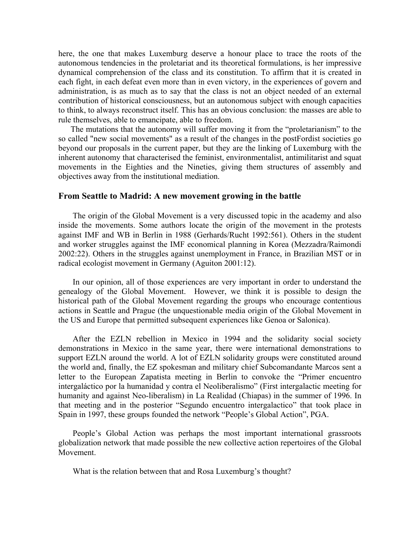here, the one that makes Luxemburg deserve a honour place to trace the roots of the autonomous tendencies in the proletariat and its theoretical formulations, is her impressive dynamical comprehension of the class and its constitution. To affirm that it is created in each fight, in each defeat even more than in even victory, in the experiences of govern and administration, is as much as to say that the class is not an object needed of an external contribution of historical consciousness, but an autonomous subject with enough capacities to think, to always reconstruct itself. This has an obvious conclusion: the masses are able to rule themselves, able to emancipate, able to freedom.

The mutations that the autonomy will suffer moving it from the "proletarianism" to the so called "new social movements" as a result of the changes in the postFordist societies go beyond our proposals in the current paper, but they are the linking of Luxemburg with the inherent autonomy that characterised the feminist, environmentalist, antimilitarist and squat movements in the Eighties and the Nineties, giving them structures of assembly and objectives away from the institutional mediation.

### From Seattle to Madrid: A new movement growing in the battle

The origin of the Global Movement is a very discussed topic in the academy and also inside the movements. Some authors locate the origin of the movement in the protests against IMF and WB in Berlin in 1988 (Gerhards/Rucht 1992:561). Others in the student and worker struggles against the IMF economical planning in Korea (Mezzadra/Raimondi 2002:22). Others in the struggles against unemployment in France, in Brazilian MST or in radical ecologist movement in Germany (Aguiton 2001:12).

In our opinion, all of those experiences are very important in order to understand the genealogy of the Global Movement. However, we think it is possible to design the historical path of the Global Movement regarding the groups who encourage contentious actions in Seattle and Prague (the unquestionable media origin of the Global Movement in the US and Europe that permitted subsequent experiences like Genoa or Salonica).

After the EZLN rebellion in Mexico in 1994 and the solidarity social society demonstrations in Mexico in the same year, there were international demonstrations to support EZLN around the world. A lot of EZLN solidarity groups were constituted around the world and, finally, the EZ spokesman and military chief Subcomandante Marcos sent a letter to the European Zapatista meeting in Berlin to convoke the "Primer encuentro intergaláctico por la humanidad y contra el Neoliberalismo" (First intergalactic meeting for humanity and against Neo-liberalism) in La Realidad (Chiapas) in the summer of 1996. In that meeting and in the posterior "Segundo encuentro intergalactico" that took place in Spain in 1997, these groups founded the network "People's Global Action", PGA.

People's Global Action was perhaps the most important international grassroots globalization network that made possible the new collective action repertoires of the Global Movement.

What is the relation between that and Rosa Luxemburg's thought?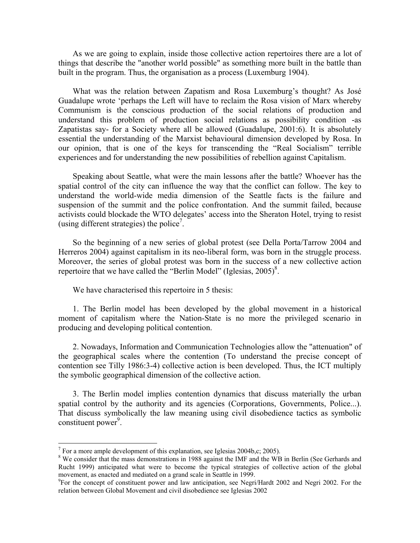As we are going to explain, inside those collective action repertoires there are a lot of things that describe the "another world possible" as something more built in the battle than built in the program. Thus, the organisation as a process (Luxemburg 1904).

What was the relation between Zapatism and Rosa Luxemburg's thought? As José Guadalupe wrote 'perhaps the Left will have to reclaim the Rosa vision of Marx whereby Communism is the conscious production of the social relations of production and understand this problem of production social relations as possibility condition -as Zapatistas say- for a Society where all be allowed (Guadalupe, 2001:6). It is absolutely essential the understanding of the Marxist behavioural dimension developed by Rosa. In our opinion, that is one of the keys for transcending the "Real Socialism" terrible experiences and for understanding the new possibilities of rebellion against Capitalism.

Speaking about Seattle, what were the main lessons after the battle? Whoever has the spatial control of the city can influence the way that the conflict can follow. The key to understand the world-wide media dimension of the Seattle facts is the failure and suspension of the summit and the police confrontation. And the summit failed, because activists could blockade the WTO delegates' access into the Sheraton Hotel, trying to resist (using different strategies) the police<sup>7</sup>.

So the beginning of a new series of global protest (see Della Porta/Tarrow 2004 and Herreros 2004) against capitalism in its neo-liberal form, was born in the struggle process. Moreover, the series of global protest was born in the success of a new collective action repertoire that we have called the "Berlin Model" (Iglesias,  $2005$ )<sup>8</sup>.

We have characterised this repertoire in 5 thesis:

1. The Berlin model has been developed by the global movement in a historical moment of capitalism where the Nation-State is no more the privileged scenario in producing and developing political contention.

2. Nowadays, Information and Communication Technologies allow the "attenuation" of the geographical scales where the contention (To understand the precise concept of contention see Tilly 1986:3-4) collective action is been developed. Thus, the ICT multiply the symbolic geographical dimension of the collective action.

3. The Berlin model implies contention dynamics that discuss materially the urban spatial control by the authority and its agencies (Corporations, Governments, Police...). That discuss symbolically the law meaning using civil disobedience tactics as symbolic constituent power<sup>9</sup>.

-

<sup>&</sup>lt;sup>7</sup> For a more ample development of this explanation, see Iglesias 2004b,c; 2005).

<sup>&</sup>lt;sup>8</sup> We consider that the mass demonstrations in 1988 against the IMF and the WB in Berlin (See Gerhards and Rucht 1999) anticipated what were to become the typical strategies of collective action of the global movement, as enacted and mediated on a grand scale in Seattle in 1999.

<sup>&</sup>lt;sup>9</sup>For the concept of constituent power and law anticipation, see Negri/Hardt 2002 and Negri 2002. For the relation between Global Movement and civil disobedience see Iglesias 2002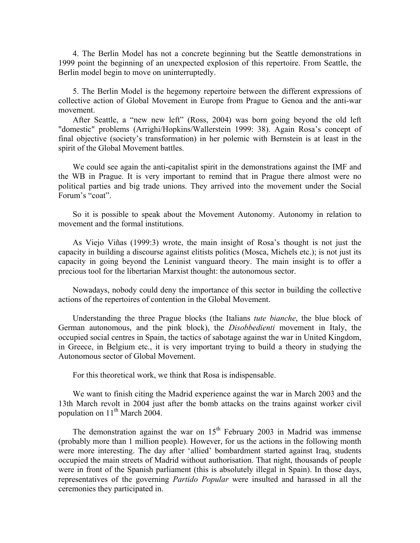4. The Berlin Model has not a concrete beginning but the Seattle demonstrations in 1999 point the beginning of an unexpected explosion of this repertoire. From Seattle, the Berlin model begin to move on uninterruptedly.

5. The Berlin Model is the hegemony repertoire between the different expressions of collective action of Global Movement in Europe from Prague to Genoa and the anti-war movement.

After Seattle, a "new new left" (Ross, 2004) was born going beyond the old left "domestic" problems (Arrighi/Hopkins/Wallerstein 1999: 38). Again Rosa's concept of final objective (society's transformation) in her polemic with Bernstein is at least in the spirit of the Global Movement battles.

We could see again the anti-capitalist spirit in the demonstrations against the IMF and the WB in Prague. It is very important to remind that in Prague there almost were no political parties and big trade unions. They arrived into the movement under the Social Forum's "coat".

So it is possible to speak about the Movement Autonomy. Autonomy in relation to movement and the formal institutions.

As Viejo Viñas (1999:3) wrote, the main insight of Rosa's thought is not just the capacity in building a discourse against elitists politics (Mosca, Michels etc.); is not just its capacity in going beyond the Leninist vanguard theory. The main insight is to offer a precious tool for the libertarian Marxist thought: the autonomous sector.

Nowadays, nobody could deny the importance of this sector in building the collective actions of the repertoires of contention in the Global Movement.

Understanding the three Prague blocks (the Italians *tute bianche*, the blue block of German autonomous, and the pink block), the Disobbedienti movement in Italy, the occupied social centres in Spain, the tactics of sabotage against the war in United Kingdom, in Greece, in Belgium etc., it is very important trying to build a theory in studying the Autonomous sector of Global Movement.

For this theoretical work, we think that Rosa is indispensable.

We want to finish citing the Madrid experience against the war in March 2003 and the 13th March revolt in 2004 just after the bomb attacks on the trains against worker civil population on  $11^{th}$  March 2004.

The demonstration against the war on  $15<sup>th</sup>$  February 2003 in Madrid was immense (probably more than 1 million people). However, for us the actions in the following month were more interesting. The day after 'allied' bombardment started against Iraq, students occupied the main streets of Madrid without authorisation. That night, thousands of people were in front of the Spanish parliament (this is absolutely illegal in Spain). In those days, representatives of the governing Partido Popular were insulted and harassed in all the ceremonies they participated in.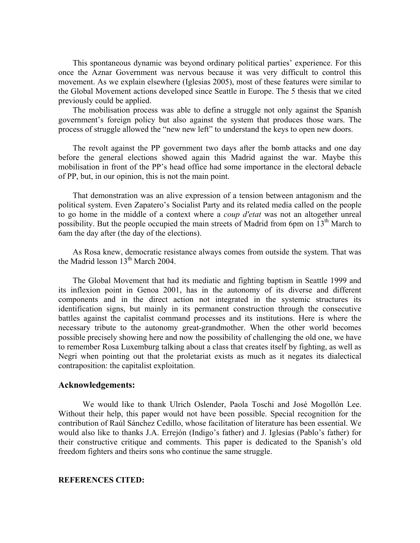This spontaneous dynamic was beyond ordinary political parties' experience. For this once the Aznar Government was nervous because it was very difficult to control this movement. As we explain elsewhere (Iglesias 2005), most of these features were similar to the Global Movement actions developed since Seattle in Europe. The 5 thesis that we cited previously could be applied.

The mobilisation process was able to define a struggle not only against the Spanish government's foreign policy but also against the system that produces those wars. The process of struggle allowed the "new new left" to understand the keys to open new doors.

The revolt against the PP government two days after the bomb attacks and one day before the general elections showed again this Madrid against the war. Maybe this mobilisation in front of the PP's head office had some importance in the electoral debacle of PP, but, in our opinion, this is not the main point.

That demonstration was an alive expression of a tension between antagonism and the political system. Even Zapatero's Socialist Party and its related media called on the people to go home in the middle of a context where a coup d'etat was not an altogether unreal possibility. But the people occupied the main streets of Madrid from 6pm on 13<sup>th</sup> March to 6am the day after (the day of the elections).

As Rosa knew, democratic resistance always comes from outside the system. That was the Madrid lesson 13<sup>th</sup> March 2004.

The Global Movement that had its mediatic and fighting baptism in Seattle 1999 and its inflexion point in Genoa 2001, has in the autonomy of its diverse and different components and in the direct action not integrated in the systemic structures its identification signs, but mainly in its permanent construction through the consecutive battles against the capitalist command processes and its institutions. Here is where the necessary tribute to the autonomy great-grandmother. When the other world becomes possible precisely showing here and now the possibility of challenging the old one, we have to remember Rosa Luxemburg talking about a class that creates itself by fighting, as well as Negri when pointing out that the proletariat exists as much as it negates its dialectical contraposition: the capitalist exploitation.

### Acknowledgements:

We would like to thank Ulrich Oslender, Paola Toschi and José Mogollón Lee. Without their help, this paper would not have been possible. Special recognition for the contribution of Raúl Sánchez Cedillo, whose facilitation of literature has been essential. We would also like to thanks J.A. Errejón (Indigo's father) and J. Iglesias (Pablo's father) for their constructive critique and comments. This paper is dedicated to the Spanish's old freedom fighters and theirs sons who continue the same struggle.

#### REFERENCES CITED: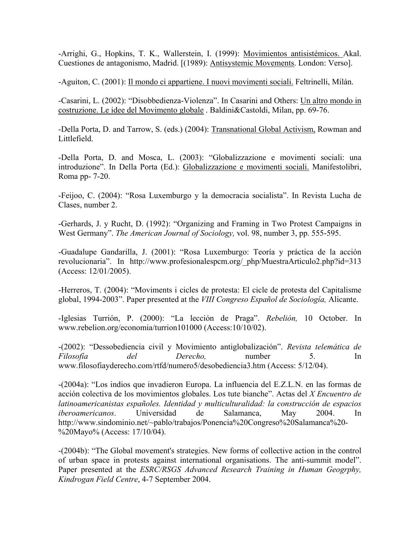-Arrighi, G., Hopkins, T. K., Wallerstein, I. (1999): Movimientos antisistémicos. Akal. Cuestiones de antagonismo, Madrid. [(1989): Antisystemic Movements. London: Verso].

-Aguiton, C. (2001): Il mondo ci appartiene. I nuovi movimenti sociali. Feltrinelli, Milán.

-Casarini, L. (2002): "Disobbedienza-Violenza". In Casarini and Others: Un altro mondo in costruzione. Le idee del Movimento globale . Baldini&Castoldi, Milan, pp. 69-76.

-Della Porta, D. and Tarrow, S. (eds.) (2004): Transnational Global Activism, Rowman and Littlefield.

-Della Porta, D. and Mosca, L. (2003): "Globalizzazione e movimenti sociali: una introduzione". In Della Porta (Ed.): Globalizzazione e movimenti sociali. Manifestolibri, Roma pp- 7-20.

-Feijoo, C. (2004): "Rosa Luxemburgo y la democracia socialista". In Revista Lucha de Clases, number 2.

-Gerhards, J. y Rucht, D. (1992): "Organizing and Framing in Two Protest Campaigns in West Germany". The American Journal of Sociology, vol. 98, number 3, pp. 555-595.

-Guadalupe Gandarilla, J. (2001): "Rosa Luxemburgo: Teoría y práctica de la acción revolucionaria". In http://www.profesionalespcm.org/\_php/MuestraArticulo2.php?id=313 (Access: 12/01/2005).

-Herreros, T. (2004): "Moviments i cicles de protesta: El cicle de protesta del Capitalisme global, 1994-2003". Paper presented at the VIII Congreso Español de Sociología, Alicante.

-Iglesias Turrión, P. (2000): "La lección de Praga". Rebelión, 10 October. In www.rebelion.org/economia/turrion101000 (Access:10/10/02).

-(2002): "Dessobediencia civil y Movimiento antiglobalización". Revista telemática de Filosofía del Derecho, number 5. In www.filosofiayderecho.com/rtfd/numero5/desobediencia3.htm (Access: 5/12/04).

-(2004a): "Los indios que invadieron Europa. La influencia del E.Z.L.N. en las formas de acción colectiva de los movimientos globales. Los tute bianche". Actas del X Encuentro de latinoamericanistas españoles. Identidad y multiculturalidad: la construcción de espacios iberoamericanos. Universidad de Salamanca, May 2004. In http://www.sindominio.net/~pablo/trabajos/Ponencia%20Congreso%20Salamanca%20- %20Mayo% (Access: 17/10/04).

-(2004b): "The Global movement's strategies. New forms of collective action in the control of urban space in protests against international organisations. The anti-summit model". Paper presented at the ESRC/RSGS Advanced Research Training in Human Geogrphy, Kindrogan Field Centre, 4-7 September 2004.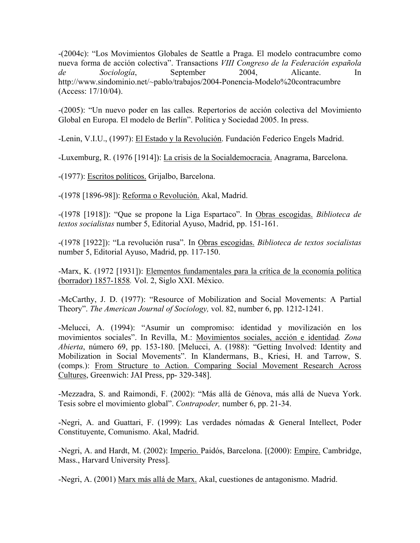-(2004c): "Los Movimientos Globales de Seattle a Praga. El modelo contracumbre como nueva forma de acción colectiva". Transactions VIII Congreso de la Federación española de Sociología, September 2004, Alicante. In http://www.sindominio.net/~pablo/trabajos/2004-Ponencia-Modelo%20contracumbre (Access: 17/10/04).

-(2005): "Un nuevo poder en las calles. Repertorios de acción colectiva del Movimiento Global en Europa. El modelo de Berlín". Política y Sociedad 2005. In press.

-Lenin, V.I.U., (1997): El Estado y la Revolución. Fundación Federico Engels Madrid.

-Luxemburg, R. (1976 [1914]): La crisis de la Socialdemocracia. Anagrama, Barcelona.

-(1977): Escritos políticos. Grijalbo, Barcelona.

-(1978 [1896-98]): Reforma o Revolución. Akal, Madrid.

-(1978 [1918]): "Que se propone la Liga Espartaco". In Obras escogidas. Biblioteca de textos socialistas number 5, Editorial Ayuso, Madrid, pp. 151-161.

-(1978 [1922]): "La revolución rusa". In Obras escogidas. Biblioteca de textos socialistas number 5, Editorial Ayuso, Madrid, pp. 117-150.

-Marx, K. (1972 [1931]): Elementos fundamentales para la crítica de la economía política (borrador) 1857-1858. Vol. 2, Siglo XXI. México.

-McCarthy, J. D. (1977): "Resource of Mobilization and Social Movements: A Partial Theory". The American Journal of Sociology, vol. 82, number 6, pp. 1212-1241.

-Melucci, A. (1994): "Asumir un compromiso: identidad y movilización en los movimientos sociales". In Revilla, M.: Movimientos sociales, acción e identidad. Zona Abierta, número 69, pp. 153-180. [Melucci, A. (1988): "Getting Involved: Identity and Mobilization in Social Movements". In Klandermans, B., Kriesi, H. and Tarrow, S. (comps.): From Structure to Action. Comparing Social Movement Research Across Cultures, Greenwich: JAI Press, pp- 329-348].

-Mezzadra, S. and Raimondi, F. (2002): "Más allá de Génova, más allá de Nueva York. Tesis sobre el movimiento global". Contrapoder, number 6, pp. 21-34.

-Negri, A. and Guattari, F. (1999): Las verdades nómadas & General Intellect, Poder Constituyente, Comunismo. Akal, Madrid.

-Negri, A. and Hardt, M. (2002): Imperio. Paidós, Barcelona. [(2000): Empire. Cambridge, Mass., Harvard University Press].

-Negri, A. (2001) Marx más allá de Marx. Akal, cuestiones de antagonismo. Madrid.